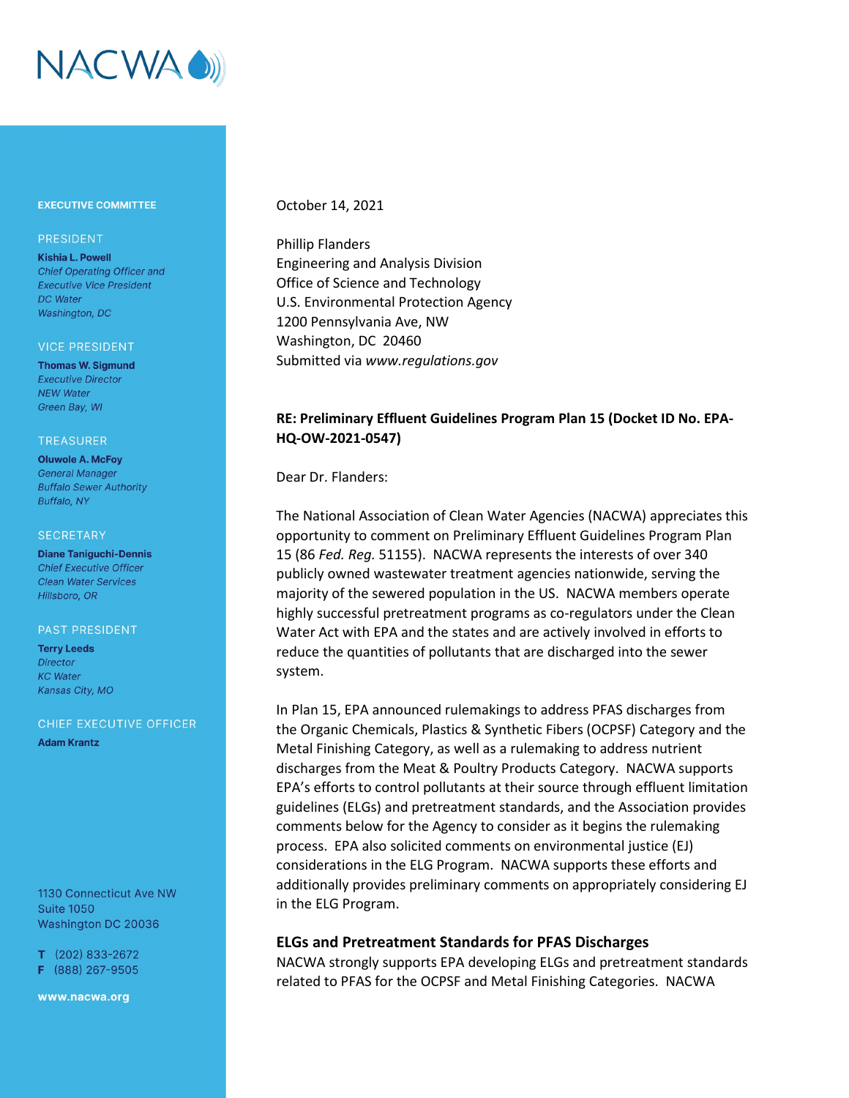

### **EXECUTIVE COMMITTEE**

### **PRESIDENT**

**Kishia L. Powell Chief Operating Officer and Executive Vice President** DC Water Washington, DC

#### **VICE PRESIDENT**

**Thomas W. Sigmund Executive Director NEW Water** Green Bay, WI

#### **TREASURER**

**Oluwole A. McFoy General Manager Buffalo Sewer Authority** Buffalo, NY

#### **SECRETARY**

**Diane Taniguchi-Dennis Chief Executive Officer Clean Water Services** Hillsboro, OR

#### PAST PRESIDENT

**Terry Leeds Director KC** Water Kansas City, MO

### CHIEF EXECUTIVE OFFICER

**Adam Krantz** 

1130 Connecticut Ave NW **Suite 1050** Washington DC 20036

 $T$  (202) 833-2672 F (888) 267-9505

www.nacwa.org

## October 14, 2021

Phillip Flanders Engineering and Analysis Division Office of Science and Technology U.S. Environmental Protection Agency 1200 Pennsylvania Ave, NW Washington, DC 20460 Submitted via *www.regulations.gov*

# **RE: Preliminary Effluent Guidelines Program Plan 15 (Docket ID No. EPA-HQ-OW-2021-0547)**

Dear Dr. Flanders:

The National Association of Clean Water Agencies (NACWA) appreciates this opportunity to comment on Preliminary Effluent Guidelines Program Plan 15 (86 *Fed. Reg.* 51155). NACWA represents the interests of over 340 publicly owned wastewater treatment agencies nationwide, serving the majority of the sewered population in the US. NACWA members operate highly successful pretreatment programs as co-regulators under the Clean Water Act with EPA and the states and are actively involved in efforts to reduce the quantities of pollutants that are discharged into the sewer system.

In Plan 15, EPA announced rulemakings to address PFAS discharges from the Organic Chemicals, Plastics & Synthetic Fibers (OCPSF) Category and the Metal Finishing Category, as well as a rulemaking to address nutrient discharges from the Meat & Poultry Products Category. NACWA supports EPA's efforts to control pollutants at their source through effluent limitation guidelines (ELGs) and pretreatment standards, and the Association provides comments below for the Agency to consider as it begins the rulemaking process. EPA also solicited comments on environmental justice (EJ) considerations in the ELG Program. NACWA supports these efforts and additionally provides preliminary comments on appropriately considering EJ in the ELG Program.

## **ELGs and Pretreatment Standards for PFAS Discharges**

NACWA strongly supports EPA developing ELGs and pretreatment standards related to PFAS for the OCPSF and Metal Finishing Categories. NACWA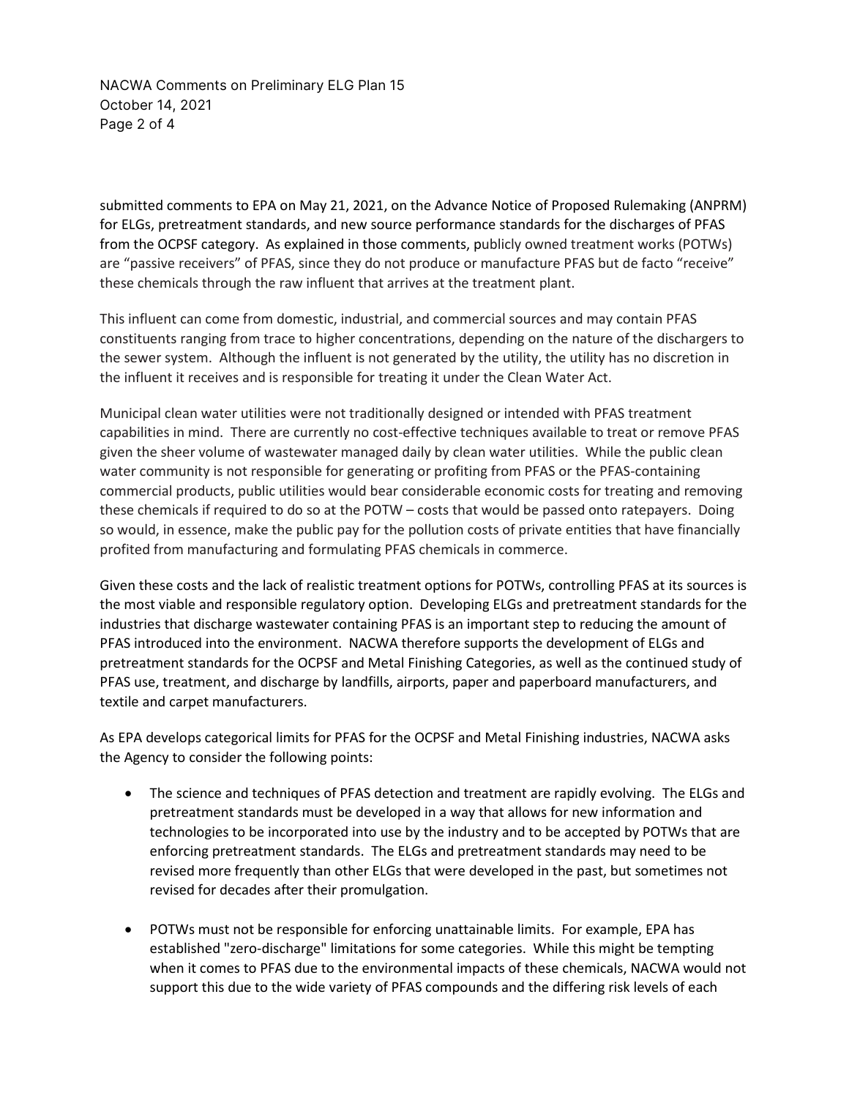NACWA Comments on Preliminary ELG Plan 15 October 14, 2021 Page 2 of 4

submitted comments to EPA on May 21, 2021, on the Advance Notice of Proposed Rulemaking (ANPRM) for ELGs, pretreatment standards, and new source performance standards for the discharges of PFAS from the OCPSF category. As explained in those comments, publicly owned treatment works (POTWs) are "passive receivers" of PFAS, since they do not produce or manufacture PFAS but de facto "receive" these chemicals through the raw influent that arrives at the treatment plant.

This influent can come from domestic, industrial, and commercial sources and may contain PFAS constituents ranging from trace to higher concentrations, depending on the nature of the dischargers to the sewer system. Although the influent is not generated by the utility, the utility has no discretion in the influent it receives and is responsible for treating it under the Clean Water Act.

Municipal clean water utilities were not traditionally designed or intended with PFAS treatment capabilities in mind. There are currently no cost-effective techniques available to treat or remove PFAS given the sheer volume of wastewater managed daily by clean water utilities. While the public clean water community is not responsible for generating or profiting from PFAS or the PFAS-containing commercial products, public utilities would bear considerable economic costs for treating and removing these chemicals if required to do so at the POTW – costs that would be passed onto ratepayers. Doing so would, in essence, make the public pay for the pollution costs of private entities that have financially profited from manufacturing and formulating PFAS chemicals in commerce.

Given these costs and the lack of realistic treatment options for POTWs, controlling PFAS at its sources is the most viable and responsible regulatory option. Developing ELGs and pretreatment standards for the industries that discharge wastewater containing PFAS is an important step to reducing the amount of PFAS introduced into the environment. NACWA therefore supports the development of ELGs and pretreatment standards for the OCPSF and Metal Finishing Categories, as well as the continued study of PFAS use, treatment, and discharge by landfills, airports, paper and paperboard manufacturers, and textile and carpet manufacturers.

As EPA develops categorical limits for PFAS for the OCPSF and Metal Finishing industries, NACWA asks the Agency to consider the following points:

- The science and techniques of PFAS detection and treatment are rapidly evolving. The ELGs and pretreatment standards must be developed in a way that allows for new information and technologies to be incorporated into use by the industry and to be accepted by POTWs that are enforcing pretreatment standards. The ELGs and pretreatment standards may need to be revised more frequently than other ELGs that were developed in the past, but sometimes not revised for decades after their promulgation.
- POTWs must not be responsible for enforcing unattainable limits. For example, EPA has established "zero-discharge" limitations for some categories. While this might be tempting when it comes to PFAS due to the environmental impacts of these chemicals, NACWA would not support this due to the wide variety of PFAS compounds and the differing risk levels of each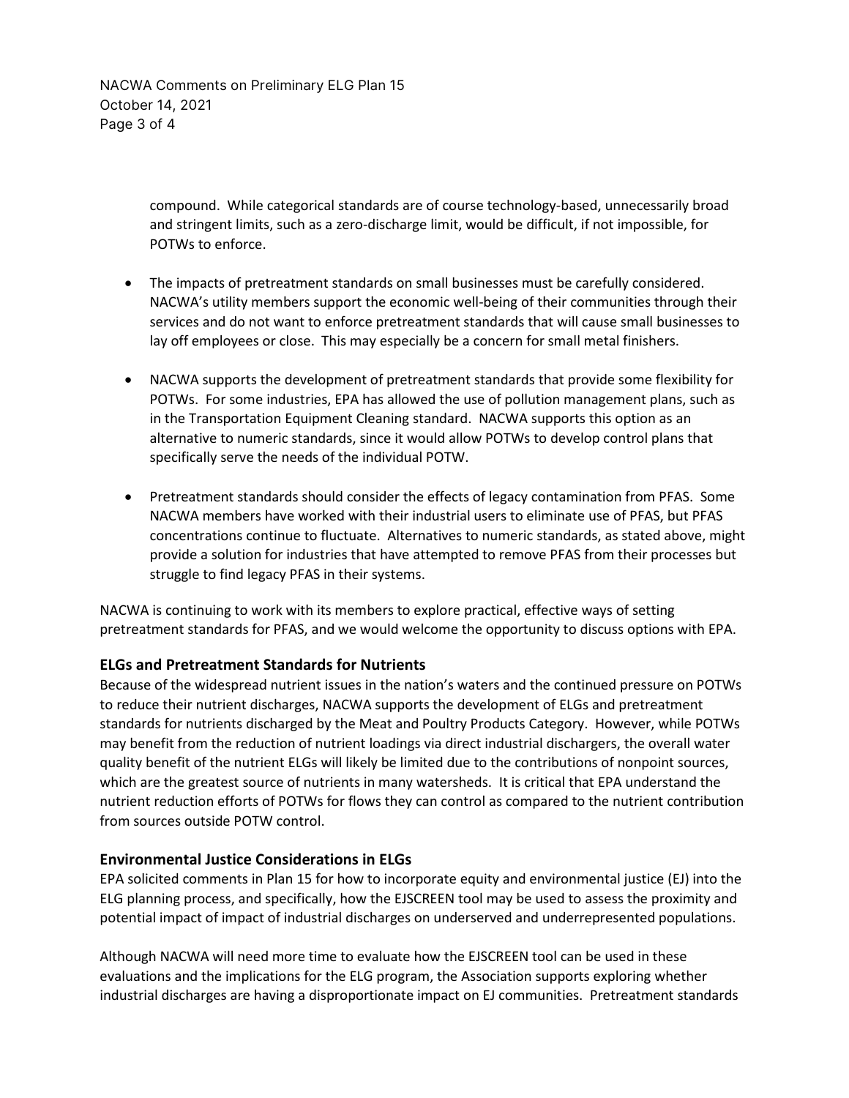NACWA Comments on Preliminary ELG Plan 15 October 14, 2021 Page 3 of 4

> compound. While categorical standards are of course technology-based, unnecessarily broad and stringent limits, such as a zero-discharge limit, would be difficult, if not impossible, for POTWs to enforce.

- The impacts of pretreatment standards on small businesses must be carefully considered. NACWA's utility members support the economic well-being of their communities through their services and do not want to enforce pretreatment standards that will cause small businesses to lay off employees or close. This may especially be a concern for small metal finishers.
- NACWA supports the development of pretreatment standards that provide some flexibility for POTWs. For some industries, EPA has allowed the use of pollution management plans, such as in the Transportation Equipment Cleaning standard. NACWA supports this option as an alternative to numeric standards, since it would allow POTWs to develop control plans that specifically serve the needs of the individual POTW.
- Pretreatment standards should consider the effects of legacy contamination from PFAS. Some NACWA members have worked with their industrial users to eliminate use of PFAS, but PFAS concentrations continue to fluctuate. Alternatives to numeric standards, as stated above, might provide a solution for industries that have attempted to remove PFAS from their processes but struggle to find legacy PFAS in their systems.

NACWA is continuing to work with its members to explore practical, effective ways of setting pretreatment standards for PFAS, and we would welcome the opportunity to discuss options with EPA.

# **ELGs and Pretreatment Standards for Nutrients**

Because of the widespread nutrient issues in the nation's waters and the continued pressure on POTWs to reduce their nutrient discharges, NACWA supports the development of ELGs and pretreatment standards for nutrients discharged by the Meat and Poultry Products Category. However, while POTWs may benefit from the reduction of nutrient loadings via direct industrial dischargers, the overall water quality benefit of the nutrient ELGs will likely be limited due to the contributions of nonpoint sources, which are the greatest source of nutrients in many watersheds. It is critical that EPA understand the nutrient reduction efforts of POTWs for flows they can control as compared to the nutrient contribution from sources outside POTW control.

# **Environmental Justice Considerations in ELGs**

EPA solicited comments in Plan 15 for how to incorporate equity and environmental justice (EJ) into the ELG planning process, and specifically, how the EJSCREEN tool may be used to assess the proximity and potential impact of impact of industrial discharges on underserved and underrepresented populations.

Although NACWA will need more time to evaluate how the EJSCREEN tool can be used in these evaluations and the implications for the ELG program, the Association supports exploring whether industrial discharges are having a disproportionate impact on EJ communities. Pretreatment standards